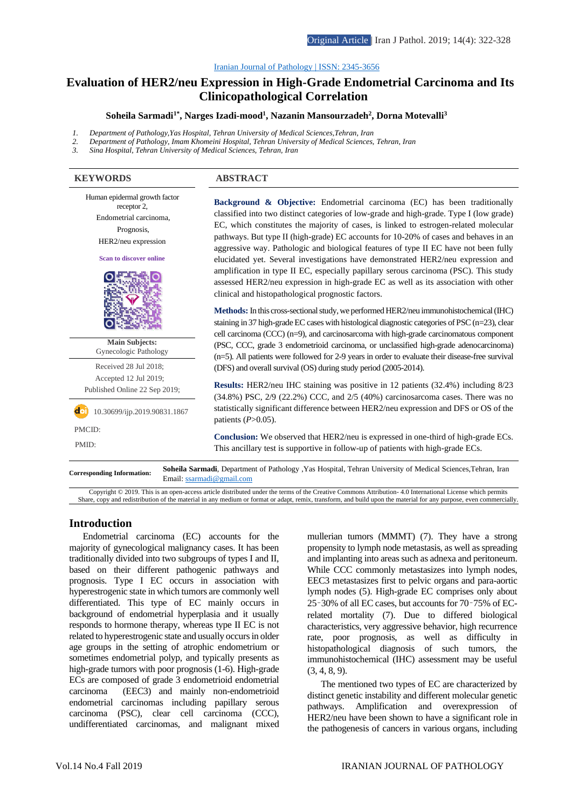#### [Iranian Journal of Pathology | ISSN: 2345-3656](http://ijp.iranpath.org/)

# **[Evaluation of HER2/neu Expression in High-Grade Endometrial Carcinoma and Its](http://ijp.iranpath.org/article_36661.html)  [Clinicopathological Correlation](http://ijp.iranpath.org/article_36661.html)**

# **Soheila Sarmadi1\* , Narges Izadi-mood<sup>1</sup> , Nazanin Mansourzadeh<sup>2</sup> , Dorna Motevalli<sup>3</sup>**

- *1. Department of Pathology,Yas Hospital, Tehran University of Medical Sciences,Tehran, Iran*
- *2. Department of Pathology, Imam Khomeini Hospital, Tehran University of Medical Sciences, Tehran, Iran*
- *3. Sina Hospital, Tehran University of Medical Sciences, Tehran, Iran*

#### **KEYWORDS ABSTRACT**

Human epidermal growth factor receptor 2, Endometrial carcinoma, Prognosis, HER2/neu expression **Scan to discover online**



**Main Subjects:**  Gynecologic Pathology Received 28 Jul 2018; Accepted 12 Jul 2019; Published Online 22 Sep 2019;

 $\text{d}$ <sup>1</sup> 10.30699/ijp.2019.90831.1867 PMCID:

**Background & Objective:** Endometrial carcinoma (EC) has been traditionally classified into two distinct categories of low-grade and high-grade. Type I (low grade) EC, which constitutes the majority of cases, is linked to estrogen-related molecular pathways. But type II (high-grade) EC accounts for 10-20% of cases and behaves in an aggressive way. Pathologic and biological features of type II EC have not been fully elucidated yet. Several investigations have demonstrated HER2/neu expression and amplification in type II EC, especially papillary serous carcinoma (PSC). This study assessed HER2/neu expression in high-grade EC as well as its association with other clinical and histopathological prognostic factors.

**Methods:** In this cross-sectional study, we performed HER2/neu immunohistochemical (IHC) staining in 37 high-grade EC cases with histological diagnostic categories of PSC (n=23), clear cell carcinoma (CCC) (n=9), and carcinosarcoma with high-grade carcinomatous component (PSC, CCC, grade 3 endometrioid carcinoma, or unclassified high-grade adenocarcinoma) (n=5). All patients were followed for 2-9 years in order to evaluate their disease-free survival (DFS) and overall survival (OS) during study period (2005-2014).

**Results:** HER2/neu IHC staining was positive in 12 patients (32.4%) including 8/23 (34.8%) PSC, 2/9 (22.2%) CCC, and 2/5 (40%) carcinosarcoma cases. There was no statistically significant difference between HER2/neu expression and DFS or OS of the patients (*P*>0.05).

**Conclusion:** We observed that HER2/neu is expressed in one-third of high-grade ECs. This ancillary test is supportive in follow-up of patients with high-grade ECs.

**Corresponding Information: Soheila Sarmadi**, Department of Pathology ,Yas Hospital, Tehran University of Medical Sciences,Tehran, Iran Email: ssarmadi@gmail.com

Copyright © 2019. This is an open-access article distributed under the terms of the Creative Commons Attribution- 4.0 International License which permits Share, copy and redistribution of the material in any medium or format or adapt, remix, transform, and build upon the material for any purpose, even commercially.

# **Introduction**

Endometrial carcinoma (EC) accounts for the majority of gynecological malignancy cases. It has been traditionally divided into two subgroups of types I and II, based on their different pathogenic pathways and prognosis. Type I EC occurs in association with hyperestrogenic state in which tumors are commonly well differentiated. This type of EC mainly occurs in background of endometrial hyperplasia and it usually responds to hormone therapy, whereas type II EC is not related to hyperestrogenic state and usually occurs in older age groups in the setting of atrophic endometrium or sometimes endometrial polyp, and typically presents as high-grade tumors with poor prognosis (1-6). High-grade ECs are composed of grade 3 endometrioid endometrial carcinoma (EEC3) and mainly non-endometrioid endometrial carcinomas including papillary serous carcinoma (PSC), clear cell carcinoma (CCC), undifferentiated carcinomas, and malignant mixed

mullerian tumors (MMMT) (7). They have a strong propensity to lymph node metastasis, as well as spreading and implanting into areas such as adnexa and peritoneum. While CCC commonly metastasizes into lymph nodes, EEC3 metastasizes first to pelvic organs and para-aortic lymph nodes (5). High-grade EC comprises only about 25–30% of all EC cases, but accounts for 70–75% of ECrelated mortality (7). Due to differed biological characteristics, very aggressive behavior, high recurrence rate, poor prognosis, as well as difficulty in histopathological diagnosis of such tumors, the immunohistochemical (IHC) assessment may be useful (3, 4, 8, 9).

The mentioned two types of EC are characterized by distinct genetic instability and different molecular genetic pathways. Amplification and overexpression of HER2/neu have been shown to have a significant role in the pathogenesis of cancers in various organs, including

Î PMID: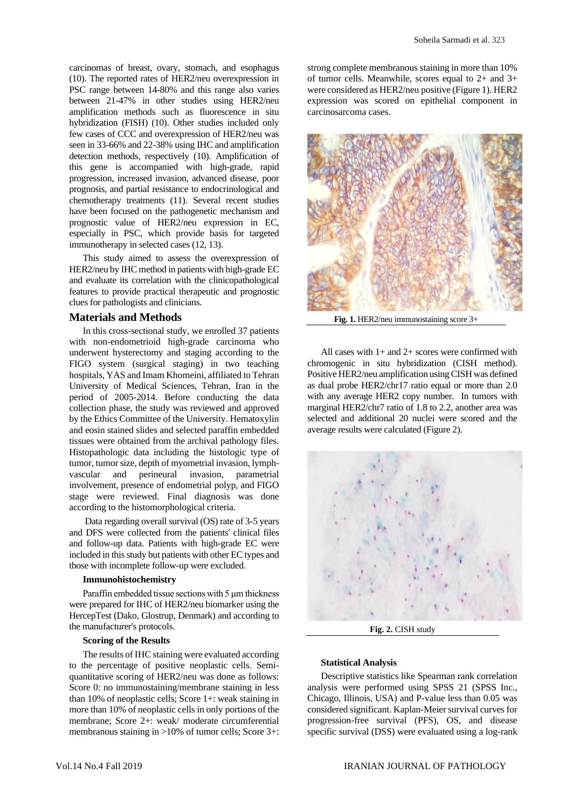carcinomas of breast, ovary, stomach, and esophagus (10). The reported rates of HER2/neu overexpression in PSC range between 14-80% and this range also varies between 21-47% in other studies using HER2/neu amplification methods such as fluorescence in situ hybridization (FISH) (10). Other studies included only few cases of CCC and overexpression of HER2/neu was seen in 33-66% and 22-38% using IHC and amplification detection methods, respectively (10). Amplification of this gene is accompanied with high-grade, rapid progression, increased invasion, advanced disease, poor prognosis, and partial resistance to endocrinological and chemotherapy treatments (11). Several recent studies have been focused on the pathogenetic mechanism and prognostic value of HER2/neu expression in EC, especially in PSC, which provide basis for targeted immunotherapy in selected cases (12, 13).

This study aimed to assess the overexpression of HER2/neu by IHC method in patients with high-grade EC and evaluate its correlation with the clinicopathological features to provide practical therapeutic and prognostic clues for pathologists and clinicians.

### **Materials and Methods**

In this cross-sectional study, we enrolled 37 patients with non-endometrioid high-grade carcinoma who underwent hysterectomy and staging according to the FIGO system (surgical staging) in two teaching hospitals, YAS and Imam Khomeini, affiliated to Tehran University of Medical Sciences, Tehran, Iran in the period of 2005-2014. Before conducting the data collection phase, the study was reviewed and approved by the Ethics Committee of the University. Hematoxylin and eosin stained slides and selected paraffin embedded tissues were obtained from the archival pathology files. Histopathologic data including the histologic type of tumor, tumor size, depth of myometrial invasion, lymphvascular and perineural invasion, parametrial involvement, presence of endometrial polyp, and FIGO stage were reviewed. Final diagnosis was done according to the histomorphological criteria.

Data regarding overall survival (OS) rate of 3-5 years and DFS were collected from the patients' clinical files and follow-up data. Patients with high-grade EC were included in this study but patients with other EC types and those with incomplete follow-up were excluded.

#### **Immunohistochemistry**

Paraffin embedded tissue sections with 5 μm thickness were prepared for IHC of HER2/neu biomarker using the HercepTest (Dako, Glostrup, Denmark) and according to the manufacturer's protocols.

# **Scoring of the Results**

The results of IHC staining were evaluated according to the percentage of positive neoplastic cells. Semiquantitative scoring of HER2/neu was done as follows: Score 0: no immunostaining/membrane staining in less than 10% of neoplastic cells; Score 1+: weak staining in more than 10% of neoplastic cells in only portions of the membrane; Score 2+: weak/ moderate circumferential membranous staining in >10% of tumor cells; Score 3+:

strong complete membranous staining in more than 10% of tumor cells. Meanwhile, scores equal to 2+ and 3+ were considered as HER2/neu positive (Figure 1). HER2 expression was scored on epithelial component in carcinosarcoma cases.



**Fig. 1.** HER2/neu immunostaining score 3+

All cases with  $1+$  and  $2+$  scores were confirmed with chromogenic in situ hybridization (CISH method). Positive HER2/neu amplification using CISH was defined as dual probe HER2/chr17 ratio equal or more than 2.0 with any average HER2 copy number. In tumors with marginal HER2/chr7 ratio of 1.8 to 2.2, another area was selected and additional 20 nuclei were scored and the average results were calculated (Figure 2).



**Fig. 2.** CISH study

#### **Statistical Analysis**

Descriptive statistics like Spearman rank correlation analysis were performed using SPSS 21 (SPSS Inc., Chicago, Illinois, USA) and P*-*value less than 0.05 was considered significant. Kaplan-Meier survival curves for progression-free survival (PFS), OS, and disease specific survival (DSS) were evaluated using a log-rank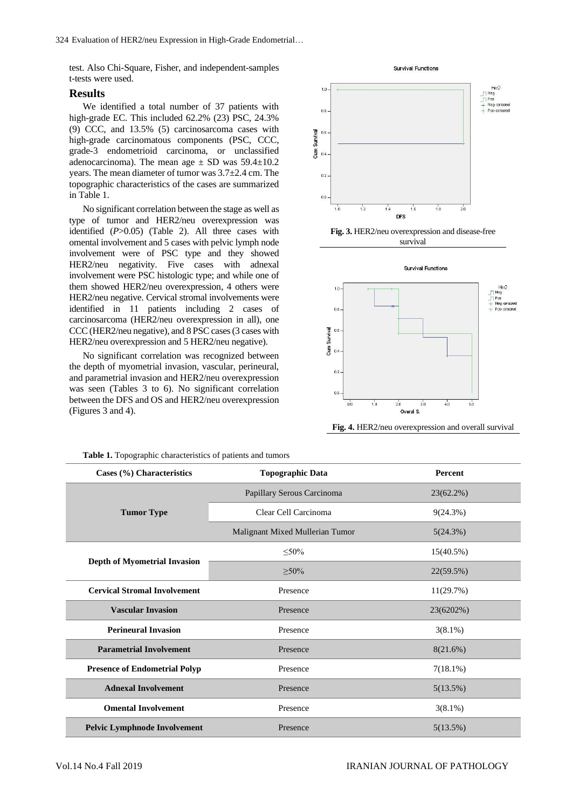test. Also Chi-Square, Fisher, and independent-samples t-tests were used.

## **Results**

We identified a total number of 37 patients with high-grade EC. This included 62.2% (23) PSC, 24.3% (9) CCC, and 13.5% (5) carcinosarcoma cases with high-grade carcinomatous components (PSC, CCC, grade-3 endometrioid carcinoma, or unclassified adenocarcinoma). The mean age  $\pm$  SD was 59.4 $\pm$ 10.2 years. The mean diameter of tumor was 3.7±2.4 cm. The topographic characteristics of the cases are summarized in Table 1.

No significant correlation between the stage as well as type of tumor and HER2/neu overexpression was identified (*P*>0.05) (Table 2). All three cases with omental involvement and 5 cases with pelvic lymph node involvement were of PSC type and they showed HER2/neu negativity. Five cases with adnexal involvement were PSC histologic type; and while one of them showed HER2/neu overexpression, 4 others were HER2/neu negative. Cervical stromal involvements were identified in 11 patients including 2 cases of carcinosarcoma (HER2/neu overexpression in all), one CCC (HER2/neu negative), and 8 PSC cases (3 cases with HER2/neu overexpression and 5 HER2/neu negative).

No significant correlation was recognized between the depth of myometrial invasion, vascular, perineural, and parametrial invasion and HER2/neu overexpression was seen (Tables 3 to 6). No significant correlation between the DFS and OS and HER2/neu overexpression (Figures 3 and 4).







**Fig. 4.** HER2/neu overexpression and overall survival

| Cases (%) Characteristics            | <b>Topographic Data</b>         | <b>Percent</b> |
|--------------------------------------|---------------------------------|----------------|
|                                      | Papillary Serous Carcinoma      | $23(62.2\%)$   |
| <b>Tumor Type</b>                    | Clear Cell Carcinoma            | 9(24.3%)       |
|                                      | Malignant Mixed Mullerian Tumor | 5(24.3%)       |
|                                      | $\leq 50\%$                     | $15(40.5\%)$   |
| <b>Depth of Myometrial Invasion</b>  | $\geq 50\%$                     | 22(59.5%)      |
| <b>Cervical Stromal Involvement</b>  | Presence                        | 11(29.7%)      |
| <b>Vascular Invasion</b>             | Presence                        | 23(6202%)      |
| <b>Perineural Invasion</b>           | Presence                        | $3(8.1\%)$     |
| <b>Parametrial Involvement</b>       | Presence                        | 8(21.6%)       |
| <b>Presence of Endometrial Polyp</b> | Presence                        | $7(18.1\%)$    |
| <b>Adnexal Involvement</b>           | Presence                        | 5(13.5%)       |
| <b>Omental Involvement</b>           | Presence                        | $3(8.1\%)$     |
| <b>Pelvic Lymphnode Involvement</b>  | Presence                        | 5(13.5%)       |

**Table 1.** Topographic characteristics of patients and tumors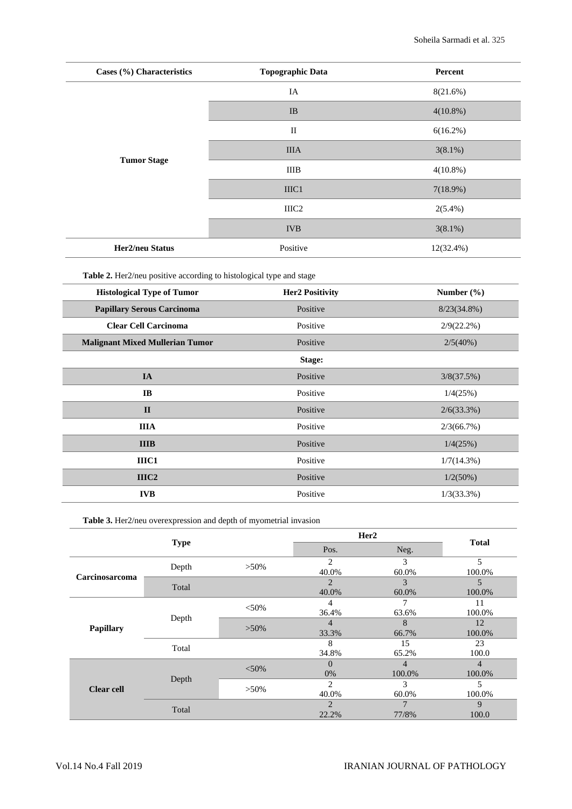| Cases (%) Characteristics | <b>Topographic Data</b> | Percent      |  |
|---------------------------|-------------------------|--------------|--|
|                           | IA                      | 8(21.6%)     |  |
|                           | IB                      | $4(10.8\%)$  |  |
|                           | $\mathbf{I}$            | $6(16.2\%)$  |  |
|                           | <b>IIIA</b>             | $3(8.1\%)$   |  |
| <b>Tumor Stage</b>        | <b>IIIB</b>             | $4(10.8\%)$  |  |
|                           | IIIC1                   | 7(18.9%)     |  |
|                           | IIIC2                   | $2(5.4\%)$   |  |
|                           | <b>IVB</b>              | $3(8.1\%)$   |  |
| Her2/neu Status           | Positive                | $12(32.4\%)$ |  |

**Table 2.** Her2/neu positive according to histological type and stage

| <b>Histological Type of Tumor</b>      | <b>Her2 Positivity</b> | Number $(\% )$ |
|----------------------------------------|------------------------|----------------|
| <b>Papillary Serous Carcinoma</b>      | Positive               | $8/23(34.8\%)$ |
| <b>Clear Cell Carcinoma</b>            | Positive               | $2/9(22.2\%)$  |
| <b>Malignant Mixed Mullerian Tumor</b> | Positive               | 2/5(40%)       |
|                                        | Stage:                 |                |
| IA                                     | Positive               | 3/8(37.5%)     |
| IB                                     | Positive               | 1/4(25%)       |
| $\mathbf{I}$                           | Positive               | $2/6(33.3\%)$  |
| <b>IIIA</b>                            | Positive               | 2/3(66.7%)     |
| <b>IIIB</b>                            | Positive               | 1/4(25%)       |
| IIIC1                                  | Positive               | $1/7(14.3\%)$  |
| IIIC <sub>2</sub>                      | Positive               | $1/2(50\%)$    |
| <b>IVB</b>                             | Positive               | $1/3(33.3\%)$  |

**Table 3.** Her2/neu overexpression and depth of myometrial invasion

|                   |             |          | Her <sub>2</sub>        |             |                          |
|-------------------|-------------|----------|-------------------------|-------------|--------------------------|
|                   | <b>Type</b> |          | Pos.                    | Neg.        | <b>Total</b>             |
| Carcinosarcoma    | Depth       | $>50\%$  | $\overline{c}$<br>40.0% | 3<br>60.0%  | 5<br>100.0%              |
|                   | Total       |          | $\overline{2}$<br>40.0% | 3<br>60.0%  | 5<br>100.0%              |
| Papillary         | Depth       | $<$ 50%  | 4<br>36.4%              | 63.6%       | 11<br>100.0%             |
|                   |             | $>50\%$  | 4<br>33.3%              | 8<br>66.7%  | 12<br>100.0%             |
|                   | Total       |          | 8<br>34.8%              | 15<br>65.2% | 23<br>100.0              |
| <b>Clear cell</b> | Depth       | $< 50\%$ | $\Omega$<br>0%          | 4<br>100.0% | $\overline{4}$<br>100.0% |
|                   |             | $>50\%$  | $\overline{c}$<br>40.0% | 3<br>60.0%  | 5<br>100.0%              |
|                   | Total       |          | $\overline{c}$<br>22.2% | 7<br>77/8%  | 9<br>100.0               |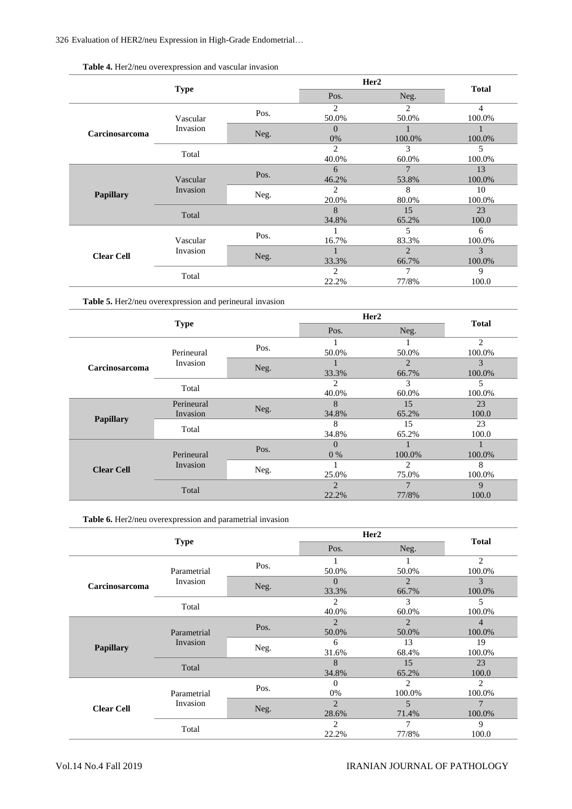326 Evaluation of HER2/neu Expression in High-Grade Endometrial…

|                   |                      |      | Her <sub>2</sub> |                |              |
|-------------------|----------------------|------|------------------|----------------|--------------|
|                   | <b>Type</b>          |      | Pos.             | Neg.           | <b>Total</b> |
|                   | Vascular<br>Invasion | Pos. | 2                | 2              | 4            |
|                   |                      |      | 50.0%            | 50.0%          | 100.0%       |
| Carcinosarcoma    |                      |      | $\Omega$         |                |              |
|                   |                      | Neg. | 0%               | 100.0%         | 100.0%       |
|                   | Total                |      | $\overline{2}$   | 3              | 5            |
|                   |                      |      | 40.0%            | 60.0%          | 100.0%       |
|                   | Vascular<br>Invasion | Pos. | 6                | 7              | 13           |
|                   |                      |      | 46.2%            | 53.8%          | 100.0%       |
|                   |                      | Neg. | $\overline{c}$   | 8              | 10           |
| <b>Papillary</b>  |                      |      | 20.0%            | 80.0%          | 100.0%       |
|                   | Total                |      | 8                | 15             | 23           |
|                   |                      |      | 34.8%            | 65.2%          | 100.0        |
|                   |                      |      |                  | 5              | 6            |
|                   | Vascular             | Pos. | 16.7%            | 83.3%          | 100.0%       |
| <b>Clear Cell</b> | Invasion             |      |                  | $\overline{2}$ | 3            |
|                   |                      | Neg. | 33.3%            | 66.7%          | 100.0%       |
|                   | Total                |      | $\overline{2}$   | 7              | 9            |
|                   |                      |      | 22.2%            | 77/8%          | 100.0        |

**Table 4.** Her2/neu overexpression and vascular invasion

**Table 5.** Her2/neu overexpression and perineural invasion

| <b>Type</b>       |                        |       | Her <sub>2</sub> |                | <b>Total</b>   |
|-------------------|------------------------|-------|------------------|----------------|----------------|
|                   |                        |       | Pos.             | Neg.           |                |
|                   | Perineural<br>Invasion | Pos.  |                  |                | $\overline{2}$ |
|                   |                        |       | 50.0%            | 50.0%<br>2     | 100.0%<br>3    |
| Carcinosarcoma    |                        | Neg.  | 33.3%            | 66.7%          | 100.0%         |
|                   | Total                  |       | $\mathfrak{D}$   | 3              | 5              |
|                   |                        |       | 40.0%            | 60.0%          | 100.0%         |
|                   | Perineural             | Neg.  | 8                | 15             | 23             |
|                   | Invasion               |       | 34.8%            | 65.2%          | 100.0          |
| <b>Papillary</b>  | Total                  |       | 8                | 15             | 23             |
|                   |                        | 34.8% | 65.2%            | 100.0          |                |
| <b>Clear Cell</b> |                        | Pos.  | $\Omega$         |                |                |
|                   | Perineural             |       | $0\%$            | 100.0%         | 100.0%         |
|                   | Invasion               |       |                  | $\mathfrak{D}$ | 8              |
|                   |                        | Neg.  | 25.0%            | 75.0%          | 100.0%         |
|                   | Total                  |       | $\mathfrak{D}$   |                | 9              |
|                   |                        | 22.2% | 77/8%            | 100.0          |                |

**Table 6.** Her2/neu overexpression and parametrial invasion

|                   |                         |      | Her <sub>2</sub> |                | <b>Total</b>   |
|-------------------|-------------------------|------|------------------|----------------|----------------|
|                   | <b>Type</b>             |      | Pos.             | Neg.           |                |
|                   | Parametrial<br>Invasion | Pos. | 1                |                | $\overline{2}$ |
|                   |                         |      | 50.0%            | 50.0%          | 100.0%         |
| Carcinosarcoma    |                         | Neg. | $\Omega$         | 2              | 3              |
|                   |                         |      | 33.3%            | 66.7%          | 100.0%         |
|                   |                         |      | $\overline{c}$   | 3              | 5              |
|                   | Total                   |      | 40.0%            | 60.0%          | 100.0%         |
|                   | Parametrial<br>Invasion | Pos. | $\overline{2}$   | $\overline{2}$ | 4              |
|                   |                         |      | 50.0%            | 50.0%          | 100.0%         |
|                   |                         | Neg. | 6                | 13             | 19             |
| Papillary         |                         |      | 31.6%            | 68.4%          | 100.0%         |
|                   | Total                   |      | 8                | 15             | 23             |
|                   |                         |      | 34.8%            | 65.2%          | 100.0          |
|                   | Parametrial<br>Invasion | Pos. | $\Omega$         | $\overline{c}$ | $\overline{c}$ |
|                   |                         |      | 0%               | 100.0%         | 100.0%         |
| <b>Clear Cell</b> |                         |      | $\overline{2}$   | 5              | $\overline{7}$ |
|                   |                         | Neg. | 28.6%            | 71.4%          | 100.0%         |
|                   | Total                   |      | $\overline{c}$   | 7              | 9              |
|                   |                         |      | 22.2%            | 77/8%          | 100.0          |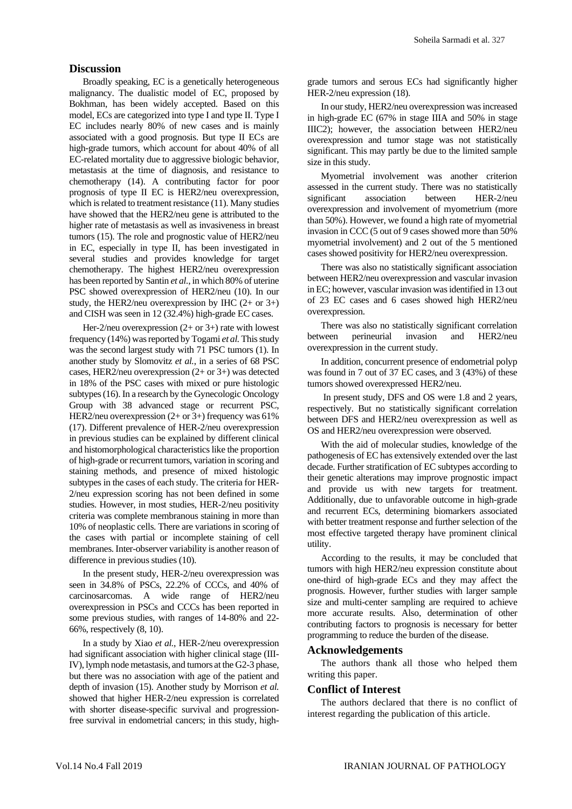# **Discussion**

Broadly speaking, EC is a genetically heterogeneous malignancy. The dualistic model of EC, proposed by Bokhman, has been widely accepted. Based on this model, ECs are categorized into type I and type II. Type I EC includes nearly 80% of new cases and is mainly associated with a good prognosis. But type II ECs are high-grade tumors, which account for about 40% of all EC-related mortality due to aggressive biologic behavior, metastasis at the time of diagnosis, and resistance to chemotherapy (14). A contributing factor for poor prognosis of type II EC is HER2/neu overexpression, which is related to treatment resistance (11). Many studies have showed that the HER2/neu gene is attributed to the higher rate of metastasis as well as invasiveness in breast tumors (15). The role and prognostic value of HER2/neu in EC, especially in type II, has been investigated in several studies and provides knowledge for target chemotherapy. The highest HER2/neu overexpression has been reported by Santin *et al.*, in which 80% of uterine PSC showed overexpression of HER2/neu (10). In our study, the HER2/neu overexpression by IHC  $(2+$  or  $3+)$ and CISH was seen in 12 (32.4%) high-grade EC cases.

Her-2/neu overexpression  $(2+ or 3+)$  rate with lowest frequency (14%) was reported by Togami *et al.* This study was the second largest study with 71 PSC tumors (1). In another study by Slomovitz *et al.*, in a series of 68 PSC cases, HER2/neu overexpression (2+ or 3+) was detected in 18% of the PSC cases with mixed or pure histologic subtypes (16). In a research by the Gynecologic Oncology Group with 38 advanced stage or recurrent PSC, HER2/neu overexpression (2+ or 3+) frequency was 61% (17). Different prevalence of HER-2/neu overexpression in previous studies can be explained by different clinical and histomorphological characteristics like the proportion of high-grade or recurrent tumors, variation in scoring and staining methods, and presence of mixed histologic subtypes in the cases of each study. The criteria for HER-2/neu expression scoring has not been defined in some studies. However, in most studies, HER-2/neu positivity criteria was complete membranous staining in more than 10% of neoplastic cells. There are variations in scoring of the cases with partial or incomplete staining of cell membranes. Inter-observer variability is another reason of difference in previous studies (10).

In the present study, HER-2/neu overexpression was seen in 34.8% of PSCs, 22.2% of CCCs, and 40% of carcinosarcomas. A wide range of HER2/neu overexpression in PSCs and CCCs has been reported in some previous studies, with ranges of 14-80% and 22- 66%, respectively (8, 10).

In a study by Xiao *et al.*, HER-2/neu overexpression had significant association with higher clinical stage (III-IV), lymph node metastasis, and tumors at the G2-3 phase, but there was no association with age of the patient and depth of invasion (15). Another study by Morrison *et al.* showed that higher HER-2/neu expression is correlated with shorter disease-specific survival and progressionfree survival in endometrial cancers; in this study, highgrade tumors and serous ECs had significantly higher HER-2/neu expression (18).

In our study, HER2/neu overexpression was increased in high-grade EC (67% in stage IIIA and 50% in stage IIIC2); however, the association between HER2/neu overexpression and tumor stage was not statistically significant. This may partly be due to the limited sample size in this study.

Myometrial involvement was another criterion assessed in the current study. There was no statistically significant association between HER-2/neu overexpression and involvement of myometrium (more than 50%). However, we found a high rate of myometrial invasion in CCC (5 out of 9 cases showed more than 50% myometrial involvement) and 2 out of the 5 mentioned cases showed positivity for HER2/neu overexpression.

There was also no statistically significant association between HER2/neu overexpression and vascular invasion in EC; however, vascular invasion was identified in 13 out of 23 EC cases and 6 cases showed high HER2/neu overexpression.

There was also no statistically significant correlation between perineurial invasion and HER2/neu overexpression in the current study.

In addition, concurrent presence of endometrial polyp was found in 7 out of 37 EC cases, and 3 (43%) of these tumors showed overexpressed HER2/neu.

In present study, DFS and OS were 1.8 and 2 years, respectively. But no statistically significant correlation between DFS and HER2/neu overexpression as well as OS and HER2/neu overexpression were observed.

With the aid of molecular studies, knowledge of the pathogenesis of EC has extensively extended over the last decade. Further stratification of EC subtypes according to their genetic alterations may improve prognostic impact and provide us with new targets for treatment. Additionally, due to unfavorable outcome in high-grade and recurrent ECs, determining biomarkers associated with better treatment response and further selection of the most effective targeted therapy have prominent clinical utility.

According to the results, it may be concluded that tumors with high HER2/neu expression constitute about one-third of high-grade ECs and they may affect the prognosis. However, further studies with larger sample size and multi-center sampling are required to achieve more accurate results. Also, determination of other contributing factors to prognosis is necessary for better programming to reduce the burden of the disease.

# **Acknowledgements**

The authors thank all those who helped them writing this paper.

# **Conflict of Interest**

The authors declared that there is no conflict of interest regarding the publication of this article.